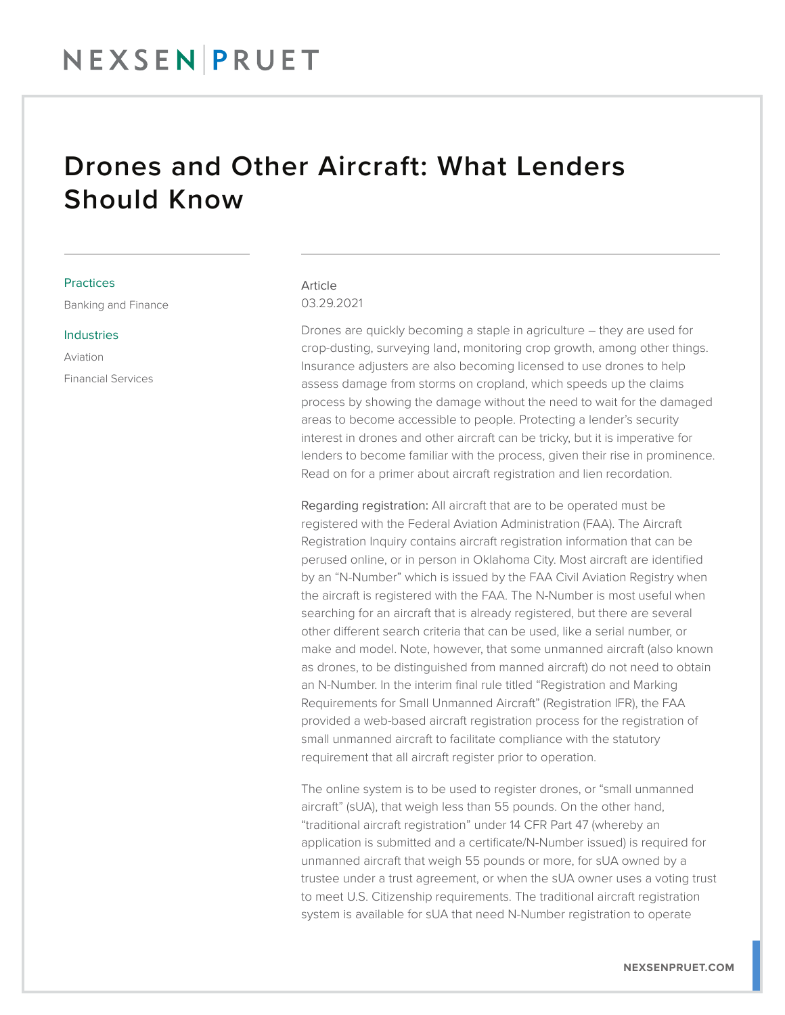## NEXSEN PRUET

## Drones and Other Aircraft: What Lenders Should Know

### **Practices**

Banking and Finance

#### Industries

Aviation Financial Services

### Article 03.29.2021

Drones are quickly becoming a staple in agriculture – they are used for crop-dusting, surveying land, monitoring crop growth, among other things. Insurance adjusters are also becoming licensed to use drones to help assess damage from storms on cropland, which speeds up the claims process by showing the damage without the need to wait for the damaged areas to become accessible to people. Protecting a lender's security interest in drones and other aircraft can be tricky, but it is imperative for lenders to become familiar with the process, given their rise in prominence. Read on for a primer about aircraft registration and lien recordation.

Regarding registration: All aircraft that are to be operated must be registered with the Federal Aviation Administration (FAA). The Aircraft Registration Inquiry contains aircraft registration information that can be perused online, or in person in Oklahoma City. Most aircraft are identified by an "N-Number" which is issued by the FAA Civil Aviation Registry when the aircraft is registered with the FAA. The N-Number is most useful when searching for an aircraft that is already registered, but there are several other different search criteria that can be used, like a serial number, or make and model. Note, however, that some unmanned aircraft (also known as drones, to be distinguished from manned aircraft) do not need to obtain an N-Number. In the interim final rule titled "Registration and Marking Requirements for Small Unmanned Aircraft" (Registration IFR), the FAA provided a web-based aircraft registration process for the registration of small unmanned aircraft to facilitate compliance with the statutory requirement that all aircraft register prior to operation.

The online system is to be used to register drones, or "small unmanned aircraft" (sUA), that weigh less than 55 pounds. On the other hand, "traditional aircraft registration" under 14 CFR Part 47 (whereby an application is submitted and a certificate/N-Number issued) is required for unmanned aircraft that weigh 55 pounds or more, for sUA owned by a trustee under a trust agreement, or when the sUA owner uses a voting trust to meet U.S. Citizenship requirements. The traditional aircraft registration system is available for sUA that need N-Number registration to operate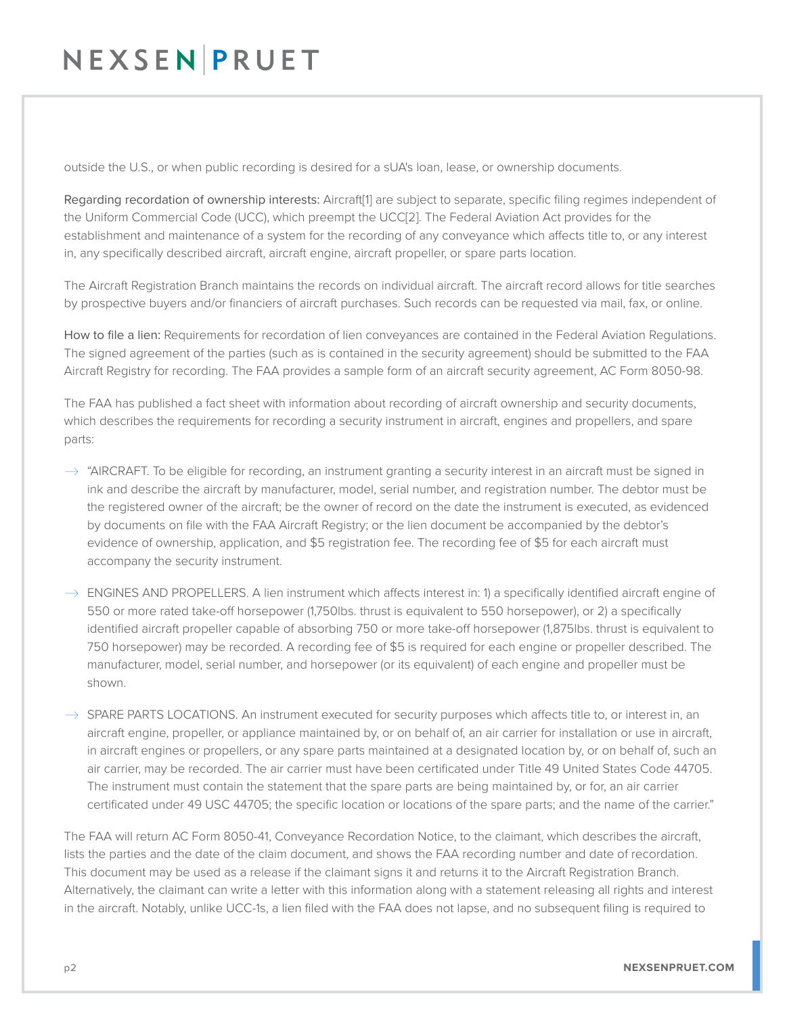# NEXSENPRUET

outside the U.S., or when public recording is desired for a sUA's loan, lease, or ownership documents.

Regarding recordation of ownership interests: Aircraft[1] are subject to separate, specific filing regimes independent of the Uniform Commercial Code (UCC), which preempt the UCC[2]. The Federal Aviation Act provides for the establishment and maintenance of a system for the recording of any conveyance which affects title to, or any interest in, any specifically described aircraft, aircraft engine, aircraft propeller, or spare parts location.

The Aircraft Registration Branch maintains the records on individual aircraft. The aircraft record allows for title searches by prospective buyers and/or financiers of aircraft purchases. Such records can be requested via mail, fax, or online.

How to file a lien: Requirements for recordation of lien conveyances are contained in the Federal Aviation Regulations. The signed agreement of the parties (such as is contained in the security agreement) should be submitted to the FAA Aircraft Registry for recording. The FAA provides a sample form of an aircraft security agreement, AC Form 8050-98.

The FAA has published a fact sheet with information about recording of aircraft ownership and security documents, which describes the requirements for recording a security instrument in aircraft, engines and propellers, and spare parts:

- $\rightarrow$  "AIRCRAFT. To be eligible for recording, an instrument granting a security interest in an aircraft must be signed in ink and describe the aircraft by manufacturer, model, serial number, and registration number. The debtor must be the registered owner of the aircraft; be the owner of record on the date the instrument is executed, as evidenced by documents on file with the FAA Aircraft Registry; or the lien document be accompanied by the debtor's evidence of ownership, application, and \$5 registration fee. The recording fee of \$5 for each aircraft must accompany the security instrument.
- $\rightarrow$  ENGINES AND PROPELLERS. A lien instrument which affects interest in: 1) a specifically identified aircraft engine of 550 or more rated take-off horsepower (1,750lbs. thrust is equivalent to 550 horsepower), or 2) a specifically identified aircraft propeller capable of absorbing 750 or more take-off horsepower (1,875lbs. thrust is equivalent to 750 horsepower) may be recorded. A recording fee of \$5 is required for each engine or propeller described. The manufacturer, model, serial number, and horsepower (or its equivalent) of each engine and propeller must be shown.

 $\rightarrow$  SPARE PARTS LOCATIONS. An instrument executed for security purposes which affects title to, or interest in, an aircraft engine, propeller, or appliance maintained by, or on behalf of, an air carrier for installation or use in aircraft, in aircraft engines or propellers, or any spare parts maintained at a designated location by, or on behalf of, such an air carrier, may be recorded. The air carrier must have been certificated under Title 49 United States Code 44705. The instrument must contain the statement that the spare parts are being maintained by, or for, an air carrier certificated under 49 USC 44705; the specific location or locations of the spare parts; and the name of the carrier."

The FAA will return AC Form 8050-41, Conveyance Recordation Notice, to the claimant, which describes the aircraft, lists the parties and the date of the claim document, and shows the FAA recording number and date of recordation. This document may be used as a release if the claimant signs it and returns it to the Aircraft Registration Branch. Alternatively, the claimant can write a letter with this information along with a statement releasing all rights and interest in the aircraft. Notably, unlike UCC-1s, a lien filed with the FAA does not lapse, and no subsequent filing is required to